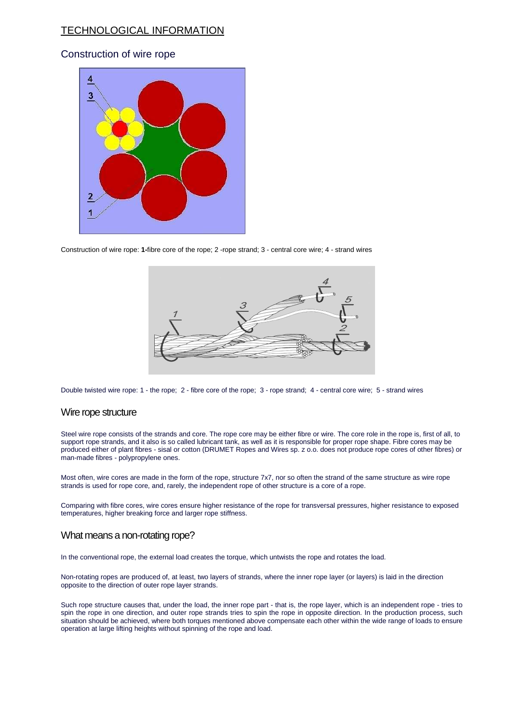# TECHNOLOGICAL INFORMATION

## Construction of wire rope



Construction of wire rope: **1-**fibre core of the rope; 2 -rope strand; 3 - central core wire; 4 - strand wires



Double twisted wire rope: 1 - the rope; 2 - fibre core of the rope; 3 - rope strand; 4 - central core wire; 5 - strand wires

### Wire rope structure

Steel wire rope consists of the strands and core. The rope core may be either fibre or wire. The core role in the rope is, first of all, to support rope strands, and it also is so called lubricant tank, as well as it is responsible for proper rope shape. Fibre cores may be produced either of plant fibres - sisal or cotton (DRUMET Ropes and Wires sp. z o.o. does not produce rope cores of other fibres) or man-made fibres - polypropylene ones.

Most often, wire cores are made in the form of the rope, structure 7x7, nor so often the strand of the same structure as wire rope strands is used for rope core, and, rarely, the independent rope of other structure is a core of a rope.

Comparing with fibre cores, wire cores ensure higher resistance of the rope for transversal pressures, higher resistance to exposed temperatures, higher breaking force and larger rope stiffness.

### What means a non-rotating rope?

In the conventional rope, the external load creates the torque, which untwists the rope and rotates the load.

Non-rotating ropes are produced of, at least, two layers of strands, where the inner rope layer (or layers) is laid in the direction opposite to the direction of outer rope layer strands.

Such rope structure causes that, under the load, the inner rope part - that is, the rope layer, which is an independent rope - tries to spin the rope in one direction, and outer rope strands tries to spin the rope in opposite direction. In the production process, such situation should be achieved, where both torques mentioned above compensate each other within the wide range of loads to ensure operation at large lifting heights without spinning of the rope and load.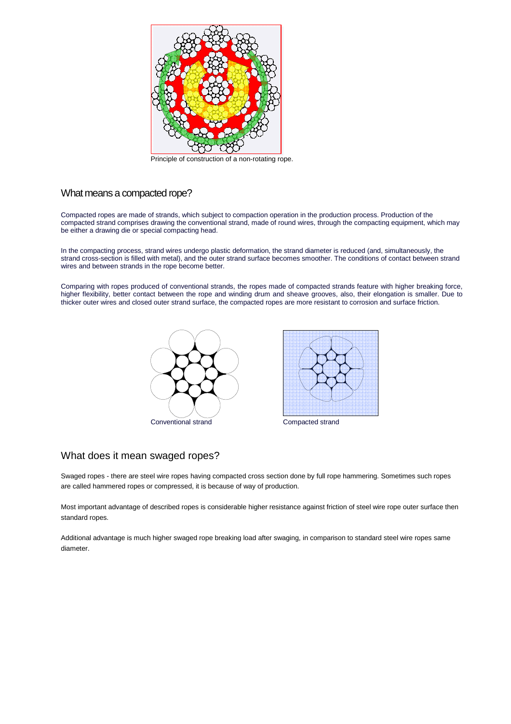

Principle of construction of a non-rotating rope.

## What means a compacted rope?

Compacted ropes are made of strands, which subject to compaction operation in the production process. Production of the compacted strand comprises drawing the conventional strand, made of round wires, through the compacting equipment, which may be either a drawing die or special compacting head.

In the compacting process, strand wires undergo plastic deformation, the strand diameter is reduced (and, simultaneously, the strand cross-section is filled with metal), and the outer strand surface becomes smoother. The conditions of contact between strand wires and between strands in the rope become better.

Comparing with ropes produced of conventional strands, the ropes made of compacted strands feature with higher breaking force, higher flexibility, better contact between the rope and winding drum and sheave grooves, also, their elongation is smaller. Due to thicker outer wires and closed outer strand surface, the compacted ropes are more resistant to corrosion and surface friction.





## What does it mean swaged ropes?

Swaged ropes - there are steel wire ropes having compacted cross section done by full rope hammering. Sometimes such ropes are called hammered ropes or compressed, it is because of way of production.

Most important advantage of described ropes is considerable higher resistance against friction of steel wire rope outer surface then standard ropes.

Additional advantage is much higher swaged rope breaking load after swaging, in comparison to standard steel wire ropes same diameter.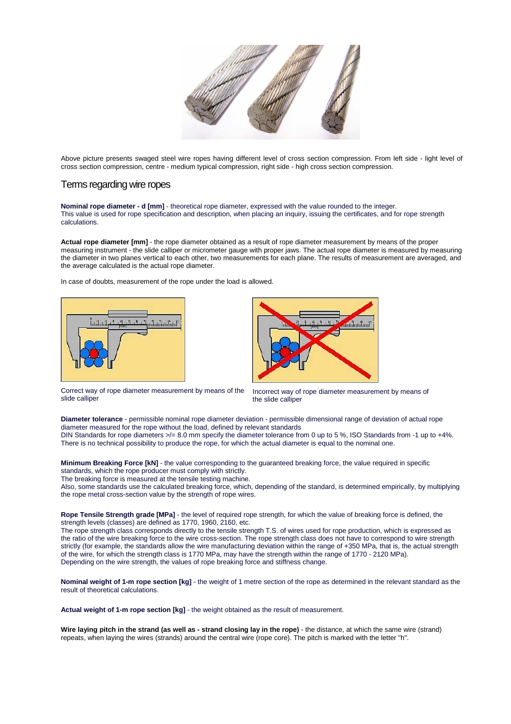

Above picture presents swaged steel wire ropes having different level of cross section compression. From left side - light level of cross section compression, centre - medium typical compression, right side - high cross section compression.

## Terms regarding wire ropes

**Nominal rope diameter - d [mm]** - theoretical rope diameter, expressed with the value rounded to the integer. This value is used for rope specification and description, when placing an inquiry, issuing the certificates, and for rope strength calculations.

**Actual rope diameter [mm]** - the rope diameter obtained as a result of rope diameter measurement by means of the proper measuring instrument - the slide calliper or micrometer gauge with proper jaws. The actual rope diameter is measured by measuring the diameter in two planes vertical to each other, two measurements for each plane. The results of measurement are averaged, and the average calculated is the actual rope diameter.

In case of doubts, measurement of the rope under the load is allowed.





Correct way of rope diameter measurement by means of the slide calliper

Incorrect way of rope diameter measurement by means of the slide calliper

**Diameter tolerance** - permissible nominal rope diameter deviation - permissible dimensional range of deviation of actual rope diameter measured for the rope without the load, defined by relevant standards DIN Standards for rope diameters  $\ge$ /= 8.0 mm specify the diameter tolerance from 0 up to 5 %, ISO Standards from -1 up to +4%. There is no technical possibility to produce the rope, for which the actual diameter is equal to the nominal one.

**Minimum Breaking Force [kN]** - the value corresponding to the guaranteed breaking force, the value required in specific standards, which the rope producer must comply with strictly.

The breaking force is measured at the tensile testing machine.

Also, some standards use the calculated breaking force, which, depending of the standard, is determined empirically, by multiplying the rope metal cross-section value by the strength of rope wires.

**Rope Tensile Strength grade [MPa]** - the level of required rope strength, for which the value of breaking force is defined, the strength levels (classes) are defined as 1770, 1960, 2160, etc.

The rope strength class corresponds directly to the tensile strength T.S. of wires used for rope production, which is expressed as the ratio of the wire breaking force to the wire cross-section. The rope strength class does not have to correspond to wire strength strictly (for example, the standards allow the wire manufacturing deviation within the range of +350 MPa, that is, the actual strength of the wire, for which the strength class is 1770 MPa, may have the strength within the range of 1770 - 2120 MPa). Depending on the wire strength, the values of rope breaking force and stiffness change.

**Nominal weight of 1-m rope section [kg]** - the weight of 1 metre section of the rope as determined in the relevant standard as the result of theoretical calculations.

**Actual weight of 1-m rope section [kg]** - the weight obtained as the result of measurement.

**Wire laying pitch in the strand (as well as - strand closing lay in the rope)** - the distance, at which the same wire (strand) repeats, when laying the wires (strands) around the central wire (rope core). The pitch is marked with the letter "h".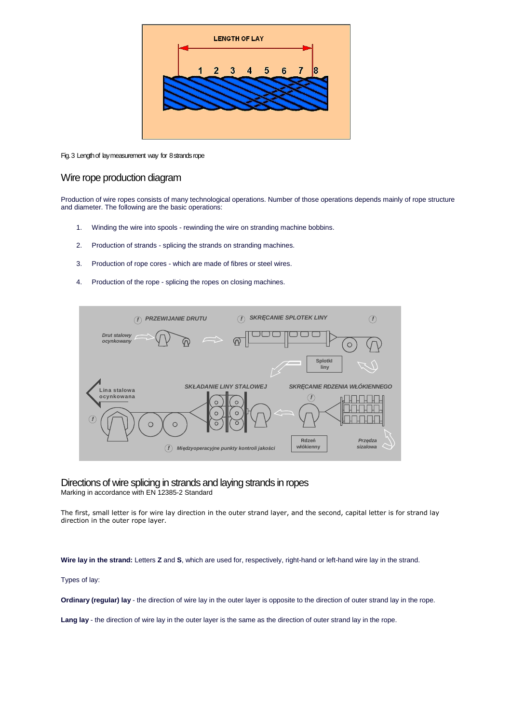

### Fig. 3 Length of lay measurement way for 8 strands rope

## Wire rope production diagram

Production of wire ropes consists of many technological operations. Number of those operations depends mainly of rope structure and diameter. The following are the basic operations:

- 1. Winding the wire into spools rewinding the wire on stranding machine bobbins.
- 2. Production of strands splicing the strands on stranding machines.
- 3. Production of rope cores which are made of fibres or steel wires.
- 4. Production of the rope splicing the ropes on closing machines.



# Directions of wire splicing in strands and laying strands in ropes

Marking in accordance with EN 12385-2 Standard

The first, small letter is for wire lay direction in the outer strand layer, and the second, capital letter is for strand lay direction in the outer rope layer.

**Wire lay in the strand:** Letters **Z** and **S**, which are used for, respectively, right-hand or left-hand wire lay in the strand.

Types of lay:

**Ordinary (regular) lay** - the direction of wire lay in the outer layer is opposite to the direction of outer strand lay in the rope.

Lang lay - the direction of wire lay in the outer layer is the same as the direction of outer strand lay in the rope.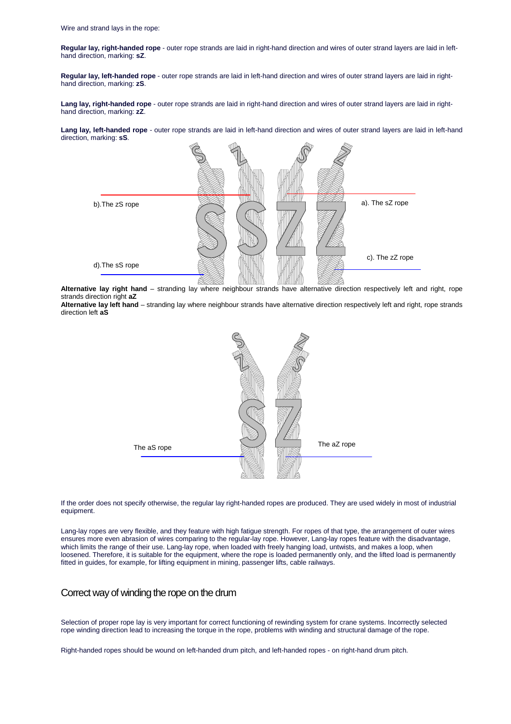**Regular lay, right-handed rope** - outer rope strands are laid in right-hand direction and wires of outer strand layers are laid in lefthand direction, marking: **sZ**.

**Regular lay, left-handed rope** - outer rope strands are laid in left-hand direction and wires of outer strand layers are laid in righthand direction, marking: **zS**.

**Lang lay, right-handed rope** - outer rope strands are laid in right-hand direction and wires of outer strand layers are laid in righthand direction, marking: **zZ**.

Lang lay, left-handed rope - outer rope strands are laid in left-hand direction and wires of outer strand layers are laid in left-hand direction, marking: **sS**.



**Alternative lay right hand** – stranding lay where neighbour strands have alternative direction respectively left and right, rope strands direction right **aZ** 

**Alternative lay left hand** – stranding lay where neighbour strands have alternative direction respectively left and right, rope strands direction left **aS**



If the order does not specify otherwise, the regular lay right-handed ropes are produced. They are used widely in most of industrial equipment.

Lang-lay ropes are very flexible, and they feature with high fatigue strength. For ropes of that type, the arrangement of outer wires ensures more even abrasion of wires comparing to the regular-lay rope. However, Lang-lay ropes feature with the disadvantage, which limits the range of their use. Lang-lay rope, when loaded with freely hanging load, untwists, and makes a loop, when loosened. Therefore, it is suitable for the equipment, where the rope is loaded permanently only, and the lifted load is permanently fitted in guides, for example, for lifting equipment in mining, passenger lifts, cable railways.

### Correct way of winding the rope on the drum

Selection of proper rope lay is very important for correct functioning of rewinding system for crane systems. Incorrectly selected rope winding direction lead to increasing the torque in the rope, problems with winding and structural damage of the rope.

Right-handed ropes should be wound on left-handed drum pitch, and left-handed ropes - on right-hand drum pitch.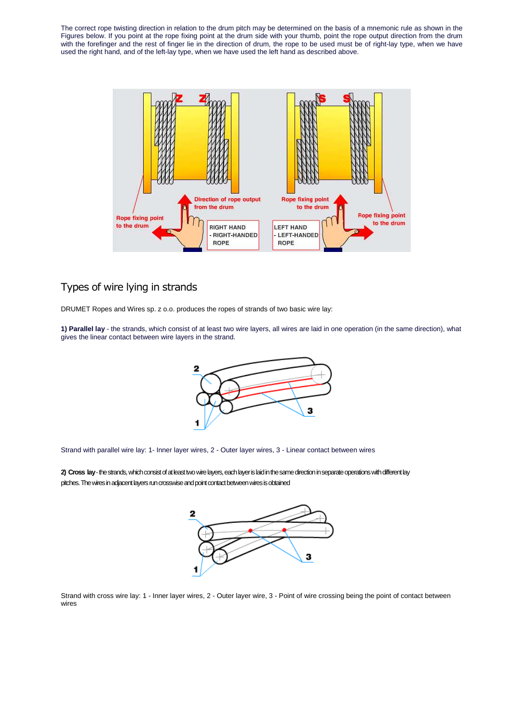The correct rope twisting direction in relation to the drum pitch may be determined on the basis of a mnemonic rule as shown in the Figures below. If you point at the rope fixing point at the drum side with your thumb, point the rope output direction from the drum with the forefinger and the rest of finger lie in the direction of drum, the rope to be used must be of right-lay type, when we have used the right hand, and of the left-lay type, when we have used the left hand as described above.



# Types of wire lying in strands

DRUMET Ropes and Wires sp. z o.o. produces the ropes of strands of two basic wire lay:

**1) Parallel lay** - the strands, which consist of at least two wire layers, all wires are laid in one operation (in the same direction), what gives the linear contact between wire layers in the strand.



Strand with parallel wire lay: 1- Inner layer wires, 2 - Outer layer wires, 3 - Linear contact between wires

**2) Cross lay** - the strands, which consist of at least two wire layers, each layer is laid in the same direction in separate operations with different lay pitches. The wires in adjacent layers run crosswise and point contact between wires is obtained



Strand with cross wire lay: 1 - Inner layer wires, 2 - Outer layer wire, 3 - Point of wire crossing being the point of contact between wires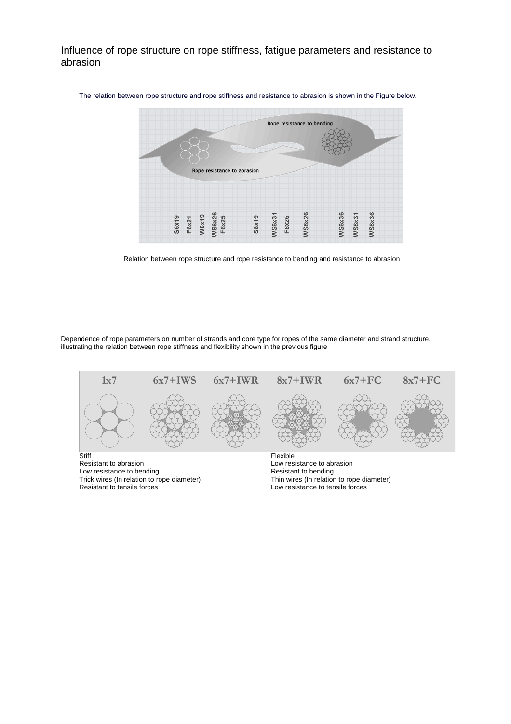Influence of rope structure on rope stiffness, fatigue parameters and resistance to abrasion



The relation between rope structure and rope stiffness and resistance to abrasion is shown in the Figure below.



Dependence of rope parameters on number of strands and core type for ropes of the same diameter and strand structure, illustrating the relation between rope stiffness and flexibility shown in the previous figure



Trick wires (In relation to rope diameter) Resistant to tensile forces

Thin wires (In relation to rope diameter) Low resistance to tensile forces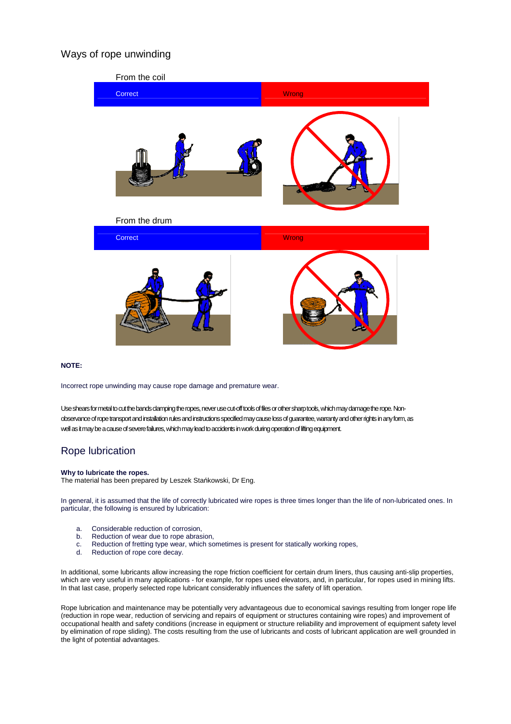# Ways of rope unwinding



### **NOTE:**

Incorrect rope unwinding may cause rope damage and premature wear.

Use shears for metal to cut the bands clamping the ropes, never use cut-off tools of files or other sharp tools, which may damage the rope. Nonobservance of rope transport and installation rules and instructions specified may cause loss of guarantee, warranty and other rights in any form, as well as it may be a cause of severe failures, which may lead to accidents in work during operation of lifting equipment.

## Rope lubrication

### **Why to lubricate the ropes.**

The material has been prepared by Leszek Stańkowski, Dr Eng.

In general, it is assumed that the life of correctly lubricated wire ropes is three times longer than the life of non-lubricated ones. In particular, the following is ensured by lubrication:

- a. Considerable reduction of corrosion,
- b. Reduction of wear due to rope abrasion,
- c. Reduction of fretting type wear, which sometimes is present for statically working ropes,<br>d. Reduction of rope core decay.
- Reduction of rope core decay.

In additional, some lubricants allow increasing the rope friction coefficient for certain drum liners, thus causing anti-slip properties, which are very useful in many applications - for example, for ropes used elevators, and, in particular, for ropes used in mining lifts. In that last case, properly selected rope lubricant considerably influences the safety of lift operation.

Rope lubrication and maintenance may be potentially very advantageous due to economical savings resulting from longer rope life (reduction in rope wear, reduction of servicing and repairs of equipment or structures containing wire ropes) and improvement of occupational health and safety conditions (increase in equipment or structure reliability and improvement of equipment safety level by elimination of rope sliding). The costs resulting from the use of lubricants and costs of lubricant application are well grounded in the light of potential advantages.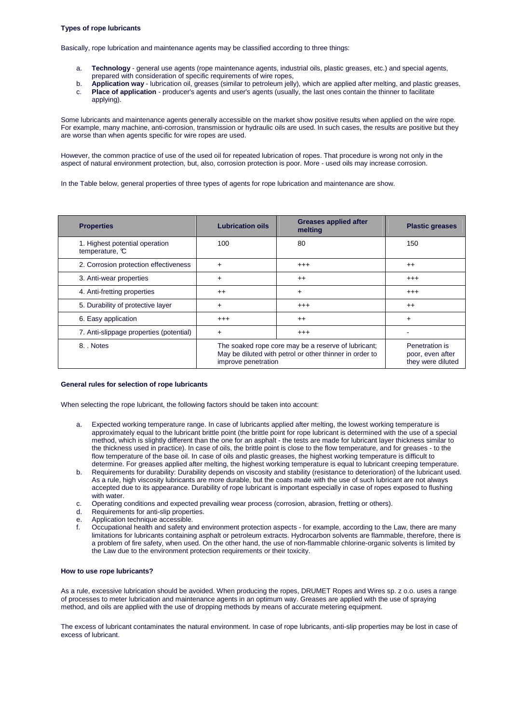### **Types of rope lubricants**

Basically, rope lubrication and maintenance agents may be classified according to three things:

- a. **Technology** general use agents (rope maintenance agents, industrial oils, plastic greases, etc.) and special agents, prepared with consideration of specific requirements of wire ropes,
- b. **Application way** lubrication oil, greases (similar to petroleum jelly), which are applied after melting, and plastic greases,
- c. **Place of application** producer's agents and user's agents (usually, the last ones contain the thinner to facilitate applying).

Some lubricants and maintenance agents generally accessible on the market show positive results when applied on the wire rope. For example, many machine, anti-corrosion, transmission or hydraulic oils are used. In such cases, the results are positive but they are worse than when agents specific for wire ropes are used.

However, the common practice of use of the used oil for repeated lubrication of ropes. That procedure is wrong not only in the aspect of natural environment protection, but, also, corrosion protection is poor. More - used oils may increase corrosion.

In the Table below, general properties of three types of agents for rope lubrication and maintenance are show.

| <b>Properties</b>                                | <b>Lubrication oils</b>                                                                                                               | <b>Greases applied after</b><br>melting | <b>Plastic greases</b>                                  |
|--------------------------------------------------|---------------------------------------------------------------------------------------------------------------------------------------|-----------------------------------------|---------------------------------------------------------|
| 1. Highest potential operation<br>temperature, C | 100                                                                                                                                   | 80                                      | 150                                                     |
| 2. Corrosion protection effectiveness            | $\ddot{}$                                                                                                                             | $^{+++}$                                | $^{++}$                                                 |
| 3. Anti-wear properties                          | $\ddot{}$                                                                                                                             | $++$                                    | $^{++}$                                                 |
| 4. Anti-fretting properties                      | $++$                                                                                                                                  | $+$                                     | $^{+++}$                                                |
| 5. Durability of protective layer                | $\ddot{}$                                                                                                                             | $^{+++}$                                | $++$                                                    |
| 6. Easy application                              | $^{+++}$                                                                                                                              | $++$                                    | $+$                                                     |
| 7. Anti-slippage properties (potential)          | $\ddot{}$                                                                                                                             | $^{+++}$                                |                                                         |
| 8. Notes                                         | The soaked rope core may be a reserve of lubricant;<br>May be diluted with petrol or other thinner in order to<br>improve penetration |                                         | Penetration is<br>poor, even after<br>they were diluted |

#### **General rules for selection of rope lubricants**

When selecting the rope lubricant, the following factors should be taken into account:

- a. Expected working temperature range. In case of lubricants applied after melting, the lowest working temperature is approximately equal to the lubricant brittle point (the brittle point for rope lubricant is determined with the use of a special method, which is slightly different than the one for an asphalt - the tests are made for lubricant layer thickness similar to the thickness used in practice). In case of oils, the brittle point is close to the flow temperature, and for greases - to the flow temperature of the base oil. In case of oils and plastic greases, the highest working temperature is difficult to determine. For greases applied after melting, the highest working temperature is equal to lubricant creeping temperature.
- b. Requirements for durability: Durability depends on viscosity and stability (resistance to deterioration) of the lubricant used. As a rule, high viscosity lubricants are more durable, but the coats made with the use of such lubricant are not always accepted due to its appearance. Durability of rope lubricant is important especially in case of ropes exposed to flushing with water.
- c. Operating conditions and expected prevailing wear process (corrosion, abrasion, fretting or others).<br>d. Requirements for anti-slip properties.
- Requirements for anti-slip properties.
- e. Application technique accessible.
- f. Occupational health and safety and environment protection aspects for example, according to the Law, there are many limitations for lubricants containing asphalt or petroleum extracts. Hydrocarbon solvents are flammable, therefore, there is a problem of fire safety, when used. On the other hand, the use of non-flammable chlorine-organic solvents is limited by the Law due to the environment protection requirements or their toxicity.

### **How to use rope lubricants?**

As a rule, excessive lubrication should be avoided. When producing the ropes, DRUMET Ropes and Wires sp. z o.o. uses a range of processes to meter lubrication and maintenance agents in an optimum way. Greases are applied with the use of spraying method, and oils are applied with the use of dropping methods by means of accurate metering equipment.

The excess of lubricant contaminates the natural environment. In case of rope lubricants, anti-slip properties may be lost in case of excess of lubricant.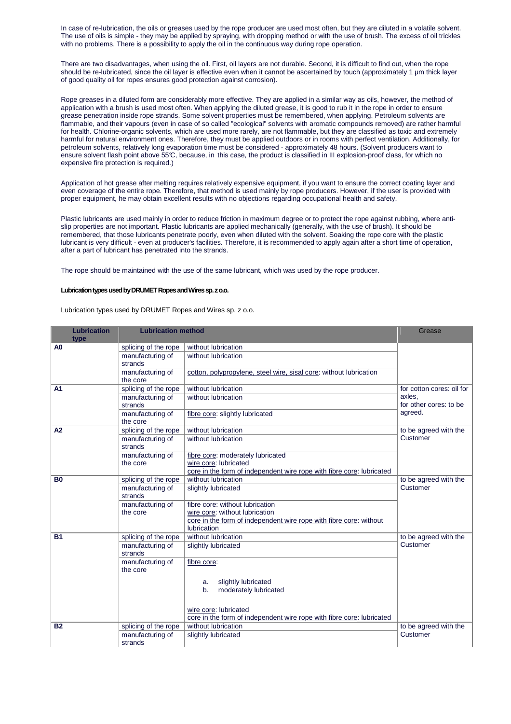In case of re-lubrication, the oils or greases used by the rope producer are used most often, but they are diluted in a volatile solvent. The use of oils is simple - they may be applied by spraying, with dropping method or with the use of brush. The excess of oil trickles with no problems. There is a possibility to apply the oil in the continuous way during rope operation.

There are two disadvantages, when using the oil. First, oil layers are not durable. Second, it is difficult to find out, when the rope should be re-lubricated, since the oil layer is effective even when it cannot be ascertained by touch (approximately 1 um thick layer of good quality oil for ropes ensures good protection against corrosion).

Rope greases in a diluted form are considerably more effective. They are applied in a similar way as oils, however, the method of application with a brush is used most often. When applying the diluted grease, it is good to rub it in the rope in order to ensure grease penetration inside rope strands. Some solvent properties must be remembered, when applying. Petroleum solvents are flammable, and their vapours (even in case of so called "ecological" solvents with aromatic compounds removed) are rather harmful for health. Chlorine-organic solvents, which are used more rarely, are not flammable, but they are classified as toxic and extremely harmful for natural environment ones. Therefore, they must be applied outdoors or in rooms with perfect ventilation. Additionally, for petroleum solvents, relatively long evaporation time must be considered - approximately 48 hours. (Solvent producers want to ensure solvent flash point above 55°C, because, in this case, the product is classified in III explosion-proof class, for which no expensive fire protection is required.)

Application of hot grease after melting requires relatively expensive equipment, if you want to ensure the correct coating layer and even coverage of the entire rope. Therefore, that method is used mainly by rope producers. However, if the user is provided with proper equipment, he may obtain excellent results with no objections regarding occupational health and safety.

Plastic lubricants are used mainly in order to reduce friction in maximum degree or to protect the rope against rubbing, where antislip properties are not important. Plastic lubricants are applied mechanically (generally, with the use of brush). It should be remembered, that those lubricants penetrate poorly, even when diluted with the solvent. Soaking the rope core with the plastic lubricant is very difficult - even at producer's facilities. Therefore, it is recommended to apply again after a short time of operation, after a part of lubricant has penetrated into the strands.

The rope should be maintained with the use of the same lubricant, which was used by the rope producer.

### **Lubrication types used by DRUMET Ropes and Wires sp. z o.o.**

Lubrication types used by DRUMET Ropes and Wires sp. z o.o.

| <b>Lubrication</b><br>type | <b>Lubrication method</b>    |                                                                                                                                                        | Grease                    |
|----------------------------|------------------------------|--------------------------------------------------------------------------------------------------------------------------------------------------------|---------------------------|
| A <sub>0</sub>             | splicing of the rope         | without lubrication                                                                                                                                    |                           |
|                            | manufacturing of<br>strands  | without lubrication                                                                                                                                    |                           |
|                            | manufacturing of<br>the core | cotton, polypropylene, steel wire, sisal core: without lubrication                                                                                     |                           |
| A <sub>1</sub>             | splicing of the rope         | without lubrication                                                                                                                                    | for cotton cores: oil for |
|                            | manufacturing of<br>strands  | axles.<br>without lubrication<br>for other cores: to be                                                                                                |                           |
|                            | manufacturing of<br>the core | fibre core: slightly lubricated                                                                                                                        | agreed.                   |
| A2                         | splicing of the rope         | without lubrication                                                                                                                                    | to be agreed with the     |
|                            | manufacturing of<br>strands  | without lubrication                                                                                                                                    | Customer                  |
|                            | manufacturing of             | fibre core: moderately lubricated                                                                                                                      |                           |
|                            | the core                     | wire core: lubricated                                                                                                                                  |                           |
| B <sub>0</sub>             | splicing of the rope         | core in the form of independent wire rope with fibre core: lubricated<br>without lubrication                                                           | to be agreed with the     |
|                            | manufacturing of<br>strands  | slightly lubricated                                                                                                                                    | Customer                  |
|                            | manufacturing of<br>the core | fibre core: without lubrication<br>wire core: without lubrication<br>core in the form of independent wire rope with fibre core: without<br>lubrication |                           |
| <b>B1</b>                  | splicing of the rope         | without lubrication                                                                                                                                    | to be agreed with the     |
|                            | manufacturing of<br>strands  | slightly lubricated                                                                                                                                    | Customer                  |
|                            | manufacturing of<br>the core | fibre core:                                                                                                                                            |                           |
|                            |                              | slightly lubricated<br>a.<br>moderately lubricated<br>b.                                                                                               |                           |
|                            |                              | wire core: lubricated<br>core in the form of independent wire rope with fibre core: lubricated                                                         |                           |
| <b>B2</b>                  | splicing of the rope         | without lubrication                                                                                                                                    | to be agreed with the     |
|                            | manufacturing of<br>strands  | slightly lubricated                                                                                                                                    | Customer                  |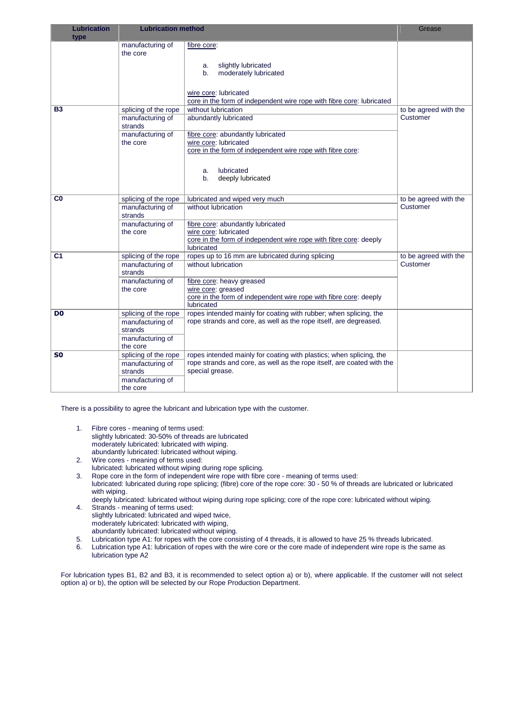| Lubrication    | <b>Lubrication method</b>    |                                                                                     | Grease                |
|----------------|------------------------------|-------------------------------------------------------------------------------------|-----------------------|
| type           |                              |                                                                                     |                       |
|                | manufacturing of<br>the core | fibre core:                                                                         |                       |
|                |                              |                                                                                     |                       |
|                |                              | slightly lubricated<br>a.                                                           |                       |
|                |                              | moderately lubricated<br>$b_{-}$                                                    |                       |
|                |                              |                                                                                     |                       |
|                |                              | wire core: lubricated                                                               |                       |
|                |                              | core in the form of independent wire rope with fibre core: lubricated               |                       |
| <b>B3</b>      | splicing of the rope         | without lubrication                                                                 | to be agreed with the |
|                | manufacturing of             | abundantly lubricated                                                               | Customer              |
|                | strands                      |                                                                                     |                       |
|                | manufacturing of             | fibre core: abundantly lubricated                                                   |                       |
|                | the core                     | wire core: lubricated<br>core in the form of independent wire rope with fibre core: |                       |
|                |                              |                                                                                     |                       |
|                |                              |                                                                                     |                       |
|                |                              | lubricated<br>a.<br>b.                                                              |                       |
|                |                              | deeply lubricated                                                                   |                       |
|                |                              |                                                                                     |                       |
| $_{\rm CO}$    | splicing of the rope         | lubricated and wiped very much                                                      | to be agreed with the |
|                | manufacturing of             | without lubrication                                                                 | Customer              |
|                | strands                      |                                                                                     |                       |
|                | manufacturing of<br>the core | fibre core: abundantly lubricated<br>wire core: lubricated                          |                       |
|                |                              | core in the form of independent wire rope with fibre core: deeply                   |                       |
|                |                              | lubricated                                                                          |                       |
| C <sub>1</sub> | splicing of the rope         | ropes up to 16 mm are lubricated during splicing                                    | to be agreed with the |
|                | manufacturing of             | without lubrication                                                                 | Customer              |
|                | strands                      |                                                                                     |                       |
|                | manufacturing of             | fibre core: heavy greased                                                           |                       |
|                | the core                     | wire core: greased                                                                  |                       |
|                |                              | core in the form of independent wire rope with fibre core: deeply<br>lubricated     |                       |
|                | splicing of the rope         | ropes intended mainly for coating with rubber; when splicing, the                   |                       |
| D <sub>0</sub> | manufacturing of             | rope strands and core, as well as the rope itself, are degreased.                   |                       |
|                | strands                      |                                                                                     |                       |
|                | manufacturing of             |                                                                                     |                       |
|                | the core                     |                                                                                     |                       |
| S0             | splicing of the rope         | ropes intended mainly for coating with plastics; when splicing, the                 |                       |
|                | manufacturing of             | rope strands and core, as well as the rope itself, are coated with the              |                       |
|                | strands                      | special grease.                                                                     |                       |
|                | manufacturing of             |                                                                                     |                       |
|                | the core                     |                                                                                     |                       |

There is a possibility to agree the lubricant and lubrication type with the customer.

- 1. Fibre cores meaning of terms used: slightly lubricated: 30-50% of threads are lubricated moderately lubricated: lubricated with wiping. abundantly lubricated: lubricated without wiping.
- 2. Wire cores meaning of terms used:
- lubricated: lubricated without wiping during rope splicing.
- 3. Rope core in the form of independent wire rope with fibre core meaning of terms used: lubricated: lubricated during rope splicing; (fibre) core of the rope core: 30 - 50 % of threads are lubricated or lubricated with wiping.
- deeply lubricated: lubricated without wiping during rope splicing; core of the rope core: lubricated without wiping. 4. Strands - meaning of terms used:
- slightly lubricated: lubricated and wiped twice, moderately lubricated: lubricated with wiping,
- abundantly lubricated: lubricated without wiping.
- 5. Lubrication type A1: for ropes with the core consisting of 4 threads, it is allowed to have 25 % threads lubricated.
- 6. Lubrication type A1: lubrication of ropes with the wire core or the core made of independent wire rope is the same as lubrication type A2

For lubrication types B1, B2 and B3, it is recommended to select option a) or b), where applicable. If the customer will not select option a) or b), the option will be selected by our Rope Production Department.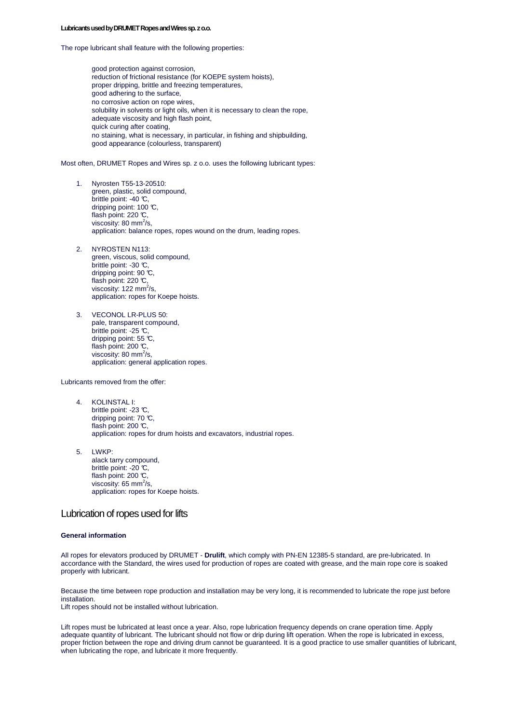#### **Lubricants used by DRUMET Ropes and Wires sp. z o.o.**

The rope lubricant shall feature with the following properties:

good protection against corrosion, reduction of frictional resistance (for KOEPE system hoists), proper dripping, brittle and freezing temperatures, good adhering to the surface, no corrosive action on rope wires, solubility in solvents or light oils, when it is necessary to clean the rope, adequate viscosity and high flash point, quick curing after coating, no staining, what is necessary, in particular, in fishing and shipbuilding, good appearance (colourless, transparent)

Most often, DRUMET Ropes and Wires sp. z o.o. uses the following lubricant types:

- 1. Nyrosten T55-13-20510: green, plastic, solid compound, brittle point: -40 °C, dripping point: 100 °C, flash point:  $220 \, \degree$ C. viscosity: 80 mm $^{2}/s$ , application: balance ropes, ropes wound on the drum, leading ropes.
- 2. NYROSTEN N113: green, viscous, solid compound, brittle point: -30 °C, dripping point: 90 °C, flash point:  $220 \, \text{C}$ , viscosity: 122 mm $^{2}/s$ , application: ropes for Koepe hoists.
- 3. VECONOL LR-PLUS 50: pale, transparent compound, brittle point: -25 °C, dripping point: 55 °C. flash point: 200 °C. viscosity: 80 mm<sup>2</sup>/s, application: general application ropes.

Lubricants removed from the offer:

- 4. KOLINSTAL I: brittle point: -23 °C dripping point: 70 °C, flash point: 200 °C, application: ropes for drum hoists and excavators, industrial ropes.
- 5. LWKP: alack tarry compound, brittle point: -20 °C, flash point: 200  $\mathbb{C}$ , viscosity: 65 mm $^{2}/s$ , application: ropes for Koepe hoists.

### Lubrication of ropes used for lifts

#### **General information**

All ropes for elevators produced by DRUMET - **Drulift**, which comply with PN-EN 12385-5 standard, are pre-lubricated. In accordance with the Standard, the wires used for production of ropes are coated with grease, and the main rope core is soaked properly with lubricant.

Because the time between rope production and installation may be very long, it is recommended to lubricate the rope just before installation.

Lift ropes should not be installed without lubrication.

Lift ropes must be lubricated at least once a year. Also, rope lubrication frequency depends on crane operation time. Apply adequate quantity of lubricant. The lubricant should not flow or drip during lift operation. When the rope is lubricated in excess, proper friction between the rope and driving drum cannot be guaranteed. It is a good practice to use smaller quantities of lubricant, when lubricating the rope, and lubricate it more frequently.